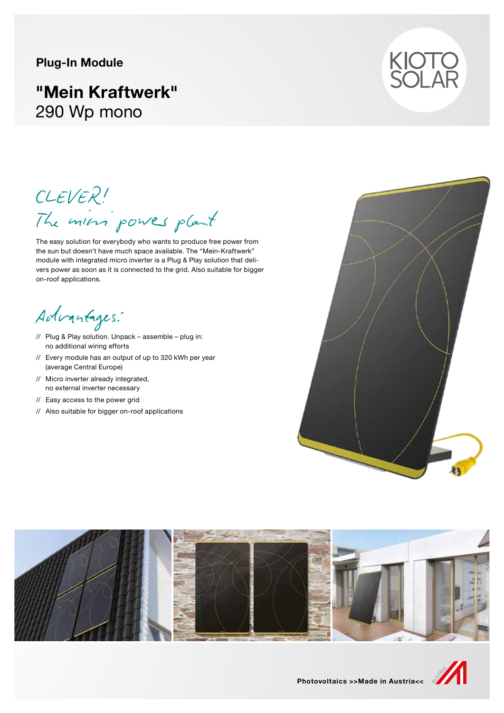### **Plug-In Module**

# **"Mein Kraftwerk"** 290 Wp mono



CLEVER! The mini power plant

The easy solution for everybody who wants to produce free power from the sun but doesn't have much space available. The "Mein-Kraftwerk" module with integrated micro inverter is a Plug & Play solution that delivers power as soon as it is connected to the grid. Also suitable for bigger on-roof applications.

Advantages:

- // Plug & Play solution. Unpack assemble plug in: no additional wiring efforts
- // Every module has an output of up to 320 kWh per year (average Central Europe)
- // Micro inverter already integrated, no external inverter necessary
- // Easy access to the power grid
- // Also suitable for bigger on-roof applications